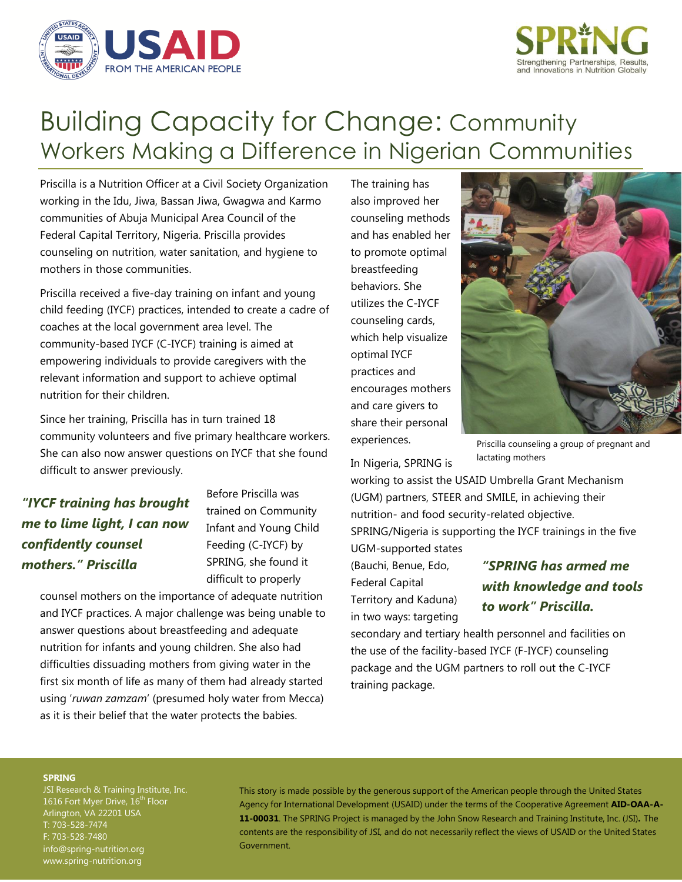



# Building Capacity for Change: Community Workers Making a Difference in Nigerian Communities

Priscilla is a Nutrition Officer at a Civil Society Organization working in the Idu, Jiwa, Bassan Jiwa, Gwagwa and Karmo communities of Abuja Municipal Area Council of the Federal Capital Territory, Nigeria. Priscilla provides counseling on nutrition, water sanitation, and hygiene to mothers in those communities.

Priscilla received a five-day training on infant and young child feeding (IYCF) practices, intended to create a cadre of coaches at the local government area level. The community-based IYCF (C-IYCF) training is aimed at empowering individuals to provide caregivers with the relevant information and support to achieve optimal nutrition for their children.

Since her training, Priscilla has in turn trained 18 community volunteers and five primary healthcare workers. She can also now answer questions on IYCF that she found difficult to answer previously.

## *"IYCF training has brought me to lime light, I can now confidently counsel mothers." Priscilla*

Before Priscilla was trained on Community Infant and Young Child Feeding (C-IYCF) by SPRING, she found it difficult to properly

counsel mothers on the importance of adequate nutrition and IYCF practices. A major challenge was being unable to answer questions about breastfeeding and adequate nutrition for infants and young children. She also had difficulties dissuading mothers from giving water in the first six month of life as many of them had already started using '*ruwan zamzam*' (presumed holy water from Mecca) as it is their belief that the water protects the babies.

The training has also improved her counseling methods and has enabled her to promote optimal breastfeeding behaviors. She utilizes the C-IYCF counseling cards, which help visualize optimal IYCF practices and encourages mothers and care givers to share their personal experiences.



Priscilla counseling a group of pregnant and lactating mothers

In Nigeria, SPRING is

working to assist the USAID Umbrella Grant Mechanism (UGM) partners, STEER and SMILE, in achieving their nutrition- and food security-related objective. SPRING/Nigeria is supporting the IYCF trainings in the five UGM-supported states

(Bauchi, Benue, Edo, Federal Capital Territory and Kaduna) in two ways: targeting

## *"SPRING has armed me with knowledge and tools to work" Priscilla.*

secondary and tertiary health personnel and facilities on the use of the facility-based IYCF (F-IYCF) counseling package and the UGM partners to roll out the C-IYCF training package.

### **SPRING**

JSI Research & Training Institute, Inc. 1616 Fort Myer Drive, 16<sup>th</sup> Floor Arlington, VA 22201 USA T: 703-528-7474 F: 703-528-7480 [info@spring-nutrition.org](mailto:info@spring-nutrition.org) www.spring-nutrition.org

This story is made possible by the generous support of the American people through the United States Agency for International Development (USAID) under the terms of the Cooperative Agreement **AID-OAA-A-11-00031**. The SPRING Project is managed by the John Snow Research and Training Institute, Inc. (JSI)**.** The contents are the responsibility of JSI, and do not necessarily reflect the views of USAID or the United States Government.